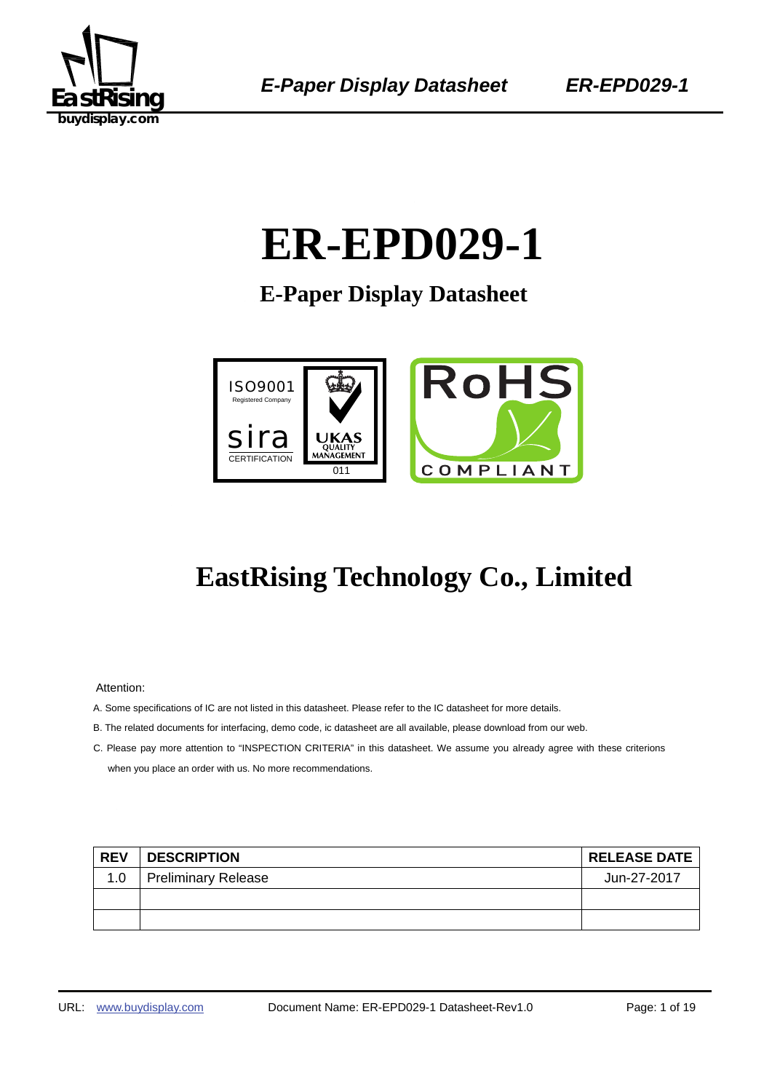

# 0B 1B**ER-EPD029-1**

**E-Paper Display Datasheet** 



## **EastRising Technology Co., Limited**

Attention:

- A. Some specifications of IC are not listed in this datasheet. Please refer to the IC datasheet for more details.
- B. The related documents for interfacing, demo code, ic datasheet are all available, please download from our web.
- C. Please pay more attention to "INSPECTION CRITERIA" in this datasheet. We assume you already agree with these criterions when you place an order with us. No more recommendations.

| <b>REV</b> | <b>DESCRIPTION</b>         | <b>RELEASE DATE</b> |
|------------|----------------------------|---------------------|
| 1.0        | <b>Preliminary Release</b> | Jun-27-2017         |
|            |                            |                     |
|            |                            |                     |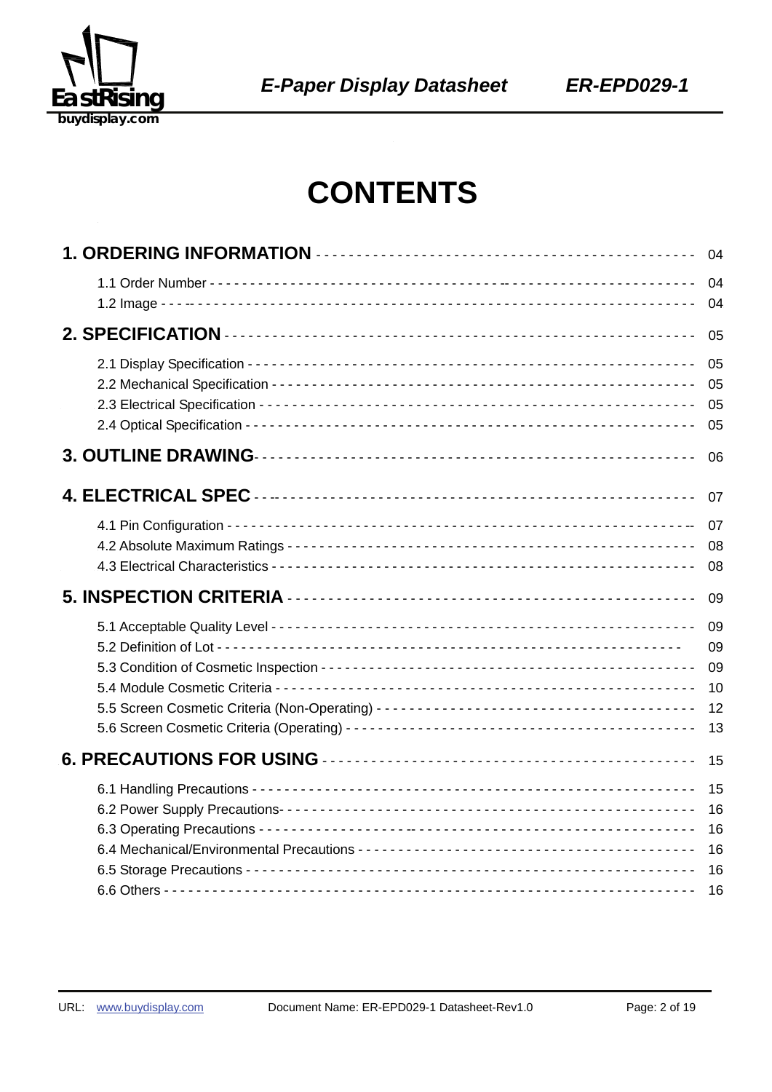

## **CONTENTS**

| 04                               |
|----------------------------------|
| 04<br>04                         |
| 05                               |
| 05<br>05<br>05<br>05             |
| 06                               |
| 07                               |
| 07<br>08<br>08                   |
| 09                               |
| 09<br>09<br>09<br>10<br>12<br>13 |
| 15                               |
| 15<br>16<br>16<br>16<br>16<br>16 |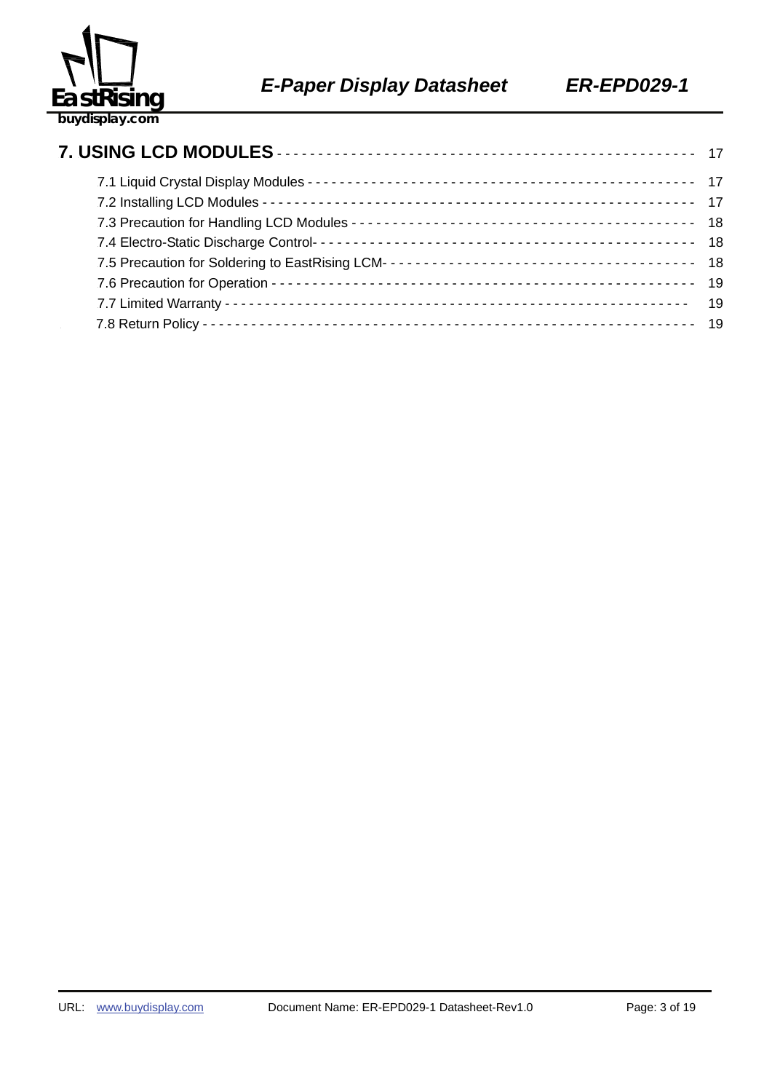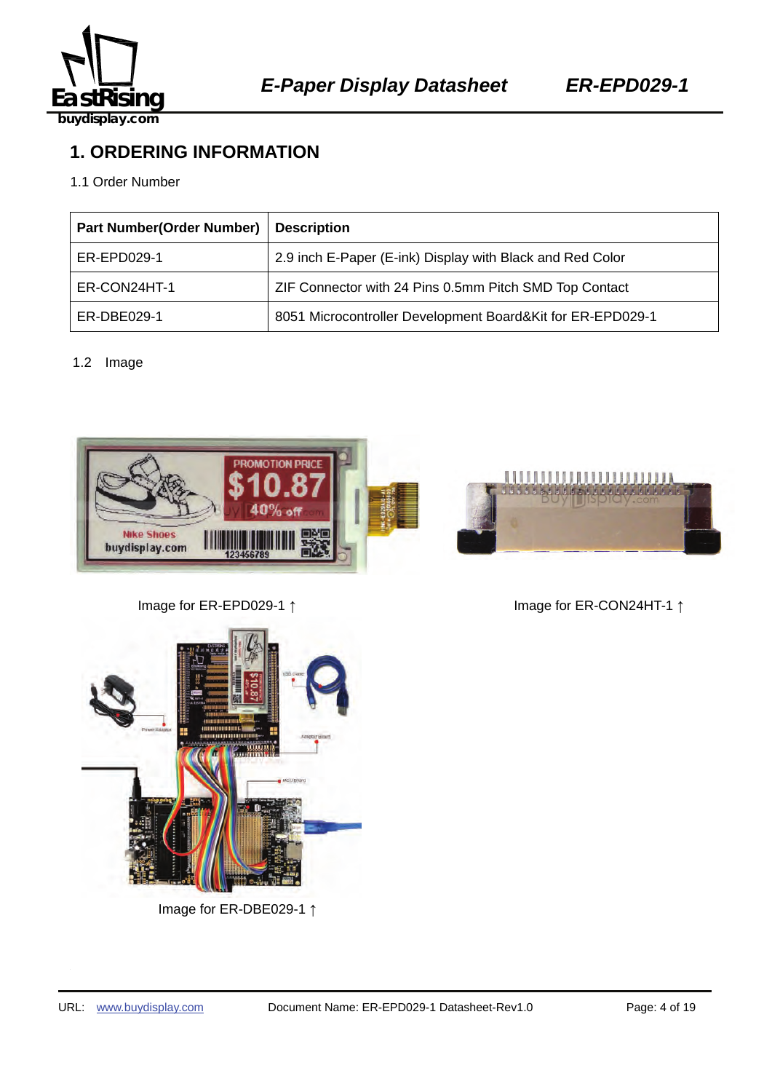

## **1. ORDERING INFORMATION**

#### 1.1 Order Number

| <b>Part Number(Order Number)</b> | <b>Description</b>                                         |
|----------------------------------|------------------------------------------------------------|
| ER-EPD029-1                      | 2.9 inch E-Paper (E-ink) Display with Black and Red Color  |
| ER-CON24HT-1                     | ZIF Connector with 24 Pins 0.5mm Pitch SMD Top Contact     |
| ER-DBE029-1                      | 8051 Microcontroller Development Board&Kit for ER-EPD029-1 |

#### 1.2 Image





Image for ER-EPD029-1 ↑ Image for ER-CON24HT-1 ↑



Image for ER-DBE029-1 ↑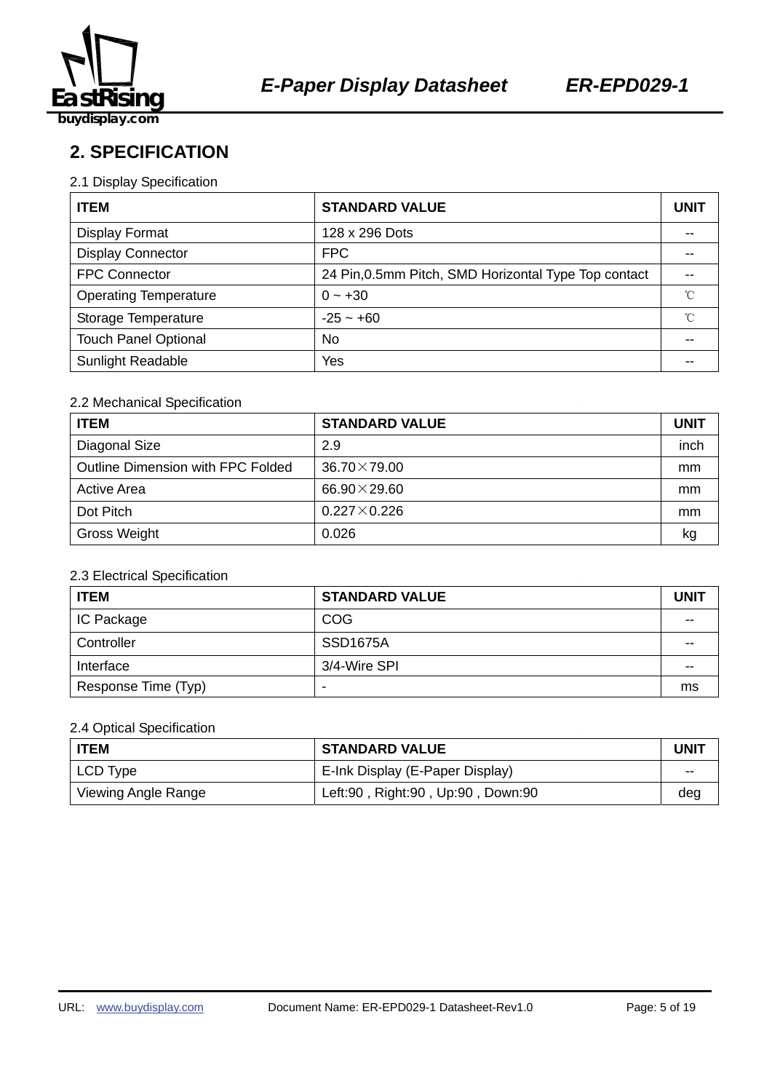

**2. SPECIFICATION** 

#### 2.1 Display Specification

| <b>ITEM</b>                  | <b>STANDARD VALUE</b>                                |              |  |
|------------------------------|------------------------------------------------------|--------------|--|
| Display Format               | 128 x 296 Dots                                       |              |  |
| <b>Display Connector</b>     | <b>FPC</b>                                           |              |  |
| <b>FPC Connector</b>         | 24 Pin, 0.5mm Pitch, SMD Horizontal Type Top contact |              |  |
| <b>Operating Temperature</b> | $0 - +30$                                            | $^{\circ}$ C |  |
| Storage Temperature          | $-25 - +60$                                          | °C           |  |
| <b>Touch Panel Optional</b>  | No                                                   |              |  |
| <b>Sunlight Readable</b>     | Yes                                                  | --           |  |

#### 2.2 Mechanical Specification

| <b>ITEM</b>                       | <b>STANDARD VALUE</b> |      |  |
|-----------------------------------|-----------------------|------|--|
| Diagonal Size                     | 2.9                   | inch |  |
| Outline Dimension with FPC Folded | $36.70 \times 79.00$  | mm   |  |
| <b>Active Area</b>                | 66.90 $\times$ 29.60  | mm   |  |
| Dot Pitch                         | $0.227 \times 0.226$  | mm   |  |
| Gross Weight                      | 0.026                 | kg   |  |

#### 2.3 Electrical Specification

| <b>ITEM</b>         | <b>STANDARD VALUE</b> | <b>UNIT</b> |
|---------------------|-----------------------|-------------|
| IC Package          | <b>COG</b>            | $- -$       |
| Controller          | SSD <sub>1675</sub> A | --          |
| Interface           | 3/4-Wire SPI          | --          |
| Response Time (Typ) | -                     | ms          |

#### 2.4 Optical Specification

| l ITEM              | <b>STANDARD VALUE</b>             | UNIT  |
|---------------------|-----------------------------------|-------|
| LCD Type            | E-Ink Display (E-Paper Display)   | $- -$ |
| Viewing Angle Range | Left:90, Right:90, Up:90, Down:90 | deg   |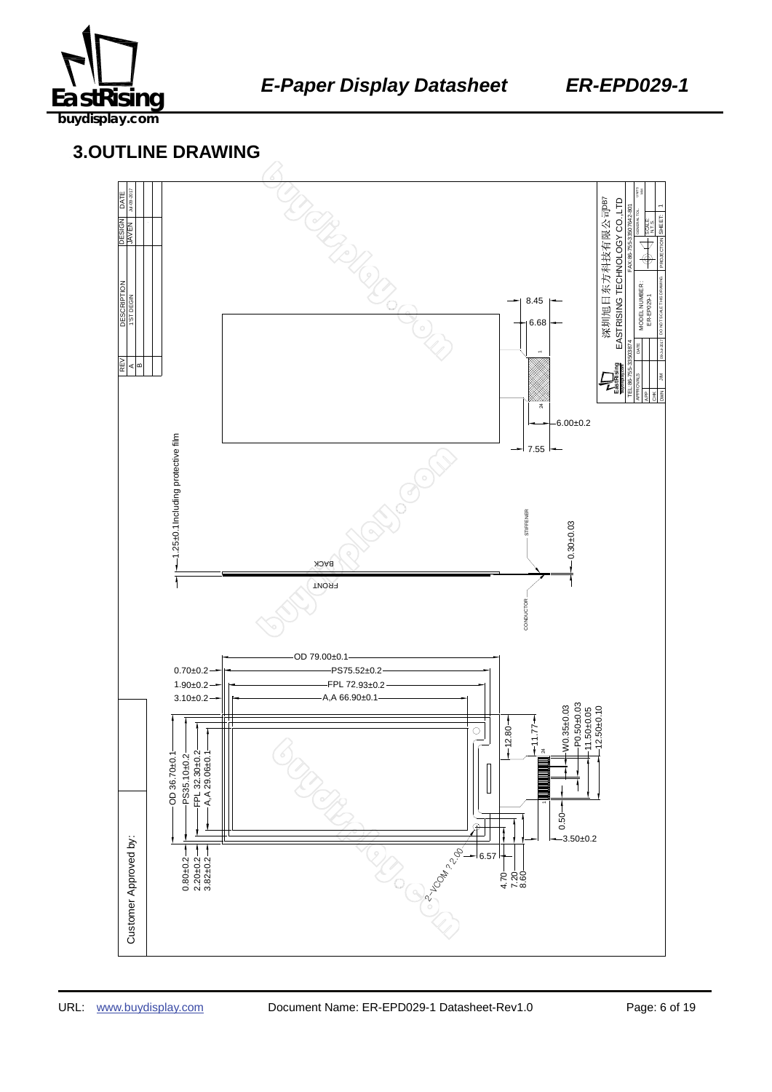

### 459B137645 **3.OUTLINE DRAWING**

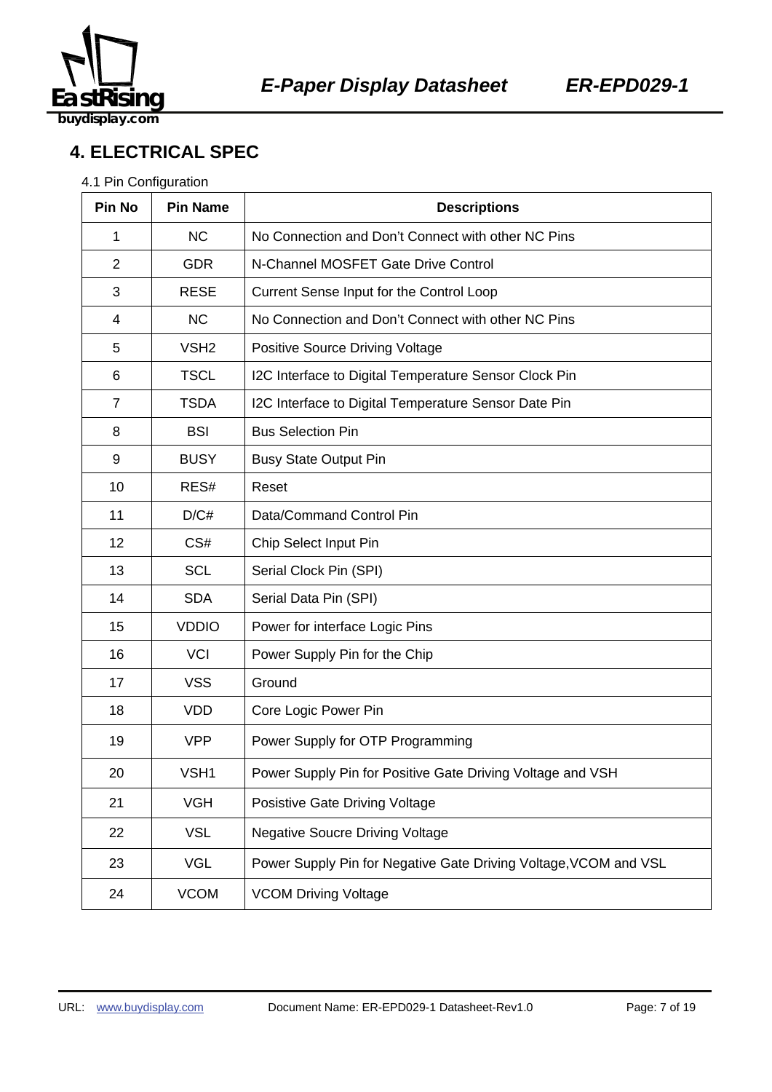

## **4. ELECTRICAL SPEC**

#### 4.1 Pin Configuration

| Pin No         | <b>Pin Name</b>  | <b>Descriptions</b>                                              |  |  |
|----------------|------------------|------------------------------------------------------------------|--|--|
| 1              | <b>NC</b>        | No Connection and Don't Connect with other NC Pins               |  |  |
| $\overline{2}$ | <b>GDR</b>       | N-Channel MOSFET Gate Drive Control                              |  |  |
| 3              | <b>RESE</b>      | Current Sense Input for the Control Loop                         |  |  |
| 4              | <b>NC</b>        | No Connection and Don't Connect with other NC Pins               |  |  |
| 5              | VSH <sub>2</sub> | <b>Positive Source Driving Voltage</b>                           |  |  |
| 6              | <b>TSCL</b>      | I2C Interface to Digital Temperature Sensor Clock Pin            |  |  |
| $\overline{7}$ | <b>TSDA</b>      | I2C Interface to Digital Temperature Sensor Date Pin             |  |  |
| 8              | <b>BSI</b>       | <b>Bus Selection Pin</b>                                         |  |  |
| 9              | <b>BUSY</b>      | <b>Busy State Output Pin</b>                                     |  |  |
| 10             | RES#             | Reset                                                            |  |  |
| 11             | D/C#             | Data/Command Control Pin                                         |  |  |
| 12             | CS#              | Chip Select Input Pin                                            |  |  |
| 13             | <b>SCL</b>       | Serial Clock Pin (SPI)                                           |  |  |
| 14             | <b>SDA</b>       | Serial Data Pin (SPI)                                            |  |  |
| 15             | <b>VDDIO</b>     | Power for interface Logic Pins                                   |  |  |
| 16             | <b>VCI</b>       | Power Supply Pin for the Chip                                    |  |  |
| 17             | <b>VSS</b>       | Ground                                                           |  |  |
| 18             | <b>VDD</b>       | Core Logic Power Pin                                             |  |  |
| 19             | <b>VPP</b>       | Power Supply for OTP Programming                                 |  |  |
| 20             | VSH1             | Power Supply Pin for Positive Gate Driving Voltage and VSH       |  |  |
| 21             | <b>VGH</b>       | Posistive Gate Driving Voltage                                   |  |  |
| 22             | <b>VSL</b>       | <b>Negative Soucre Driving Voltage</b>                           |  |  |
| 23             | <b>VGL</b>       | Power Supply Pin for Negative Gate Driving Voltage, VCOM and VSL |  |  |
| 24             | <b>VCOM</b>      | <b>VCOM Driving Voltage</b>                                      |  |  |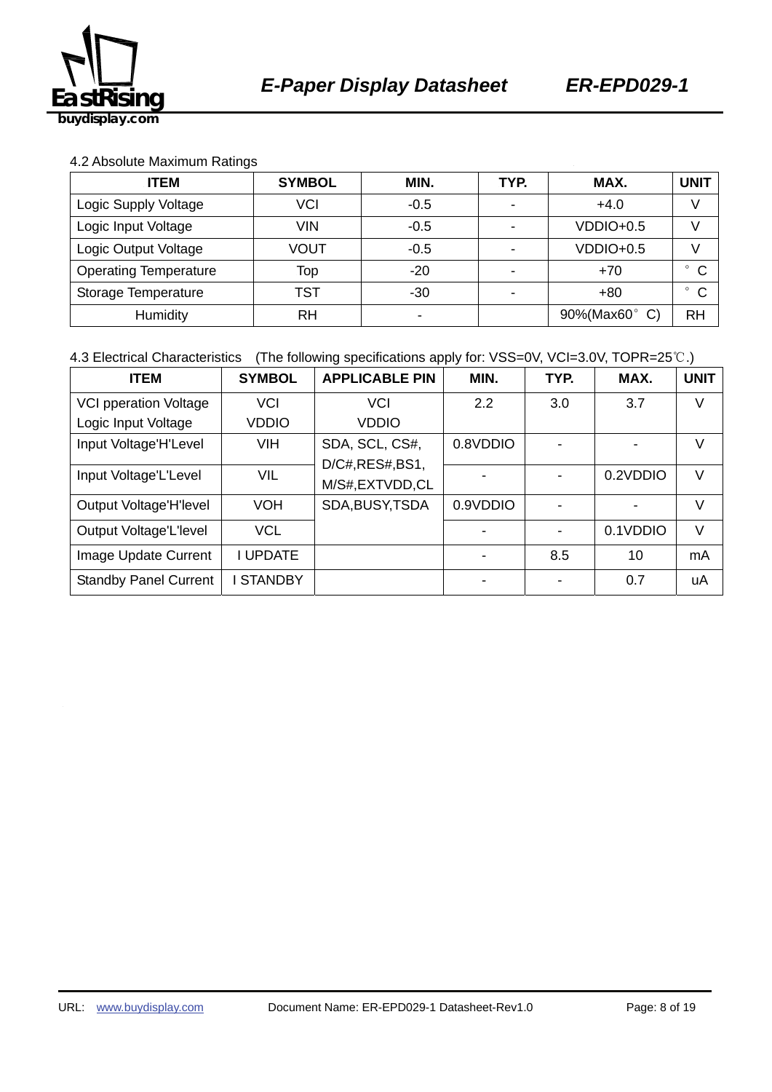

#### 4.2 Absolute Maximum Ratings

| <b>ITEM</b>                  | <b>SYMBOL</b> | MIN.                     | TYP.                     | MAX.          | <b>UNIT</b>             |
|------------------------------|---------------|--------------------------|--------------------------|---------------|-------------------------|
| VCI<br>Logic Supply Voltage  |               | $-0.5$                   | $\overline{\phantom{0}}$ | $+4.0$        |                         |
| Logic Input Voltage          | <b>VIN</b>    | $-0.5$                   |                          | $VDDIO+0.5$   |                         |
| Logic Output Voltage         | VOUT          | $-0.5$                   |                          | VDDIO+0.5     |                         |
| <b>Operating Temperature</b> | Top           | $-20$                    |                          | $+70$         | $^{\circ}$ C            |
| Storage Temperature          | TST           | $-30$                    |                          | $+80$         | $\mathsf{C}$<br>$\circ$ |
| Humidity                     | RH            | $\overline{\phantom{0}}$ |                          | 90%(Max60° C) | <b>RH</b>               |

4.3 Electrical Characteristics (The following specifications apply for: VSS=0V, VCI=3.0V, TOPR=25℃.)

| <b>ITEM</b>                  | <b>SYMBOL</b>  | <b>APPLICABLE PIN</b> | MIN.                     | TYP. | MAX.     | <b>UNIT</b> |
|------------------------------|----------------|-----------------------|--------------------------|------|----------|-------------|
| <b>VCI pperation Voltage</b> | <b>VCI</b>     | <b>VCI</b>            | 2.2                      | 3.0  | 3.7      | V           |
| Logic Input Voltage          | <b>VDDIO</b>   | <b>VDDIO</b>          |                          |      |          |             |
| Input Voltage'H'Level        | <b>VIH</b>     | SDA, SCL, CS#,        | 0.8VDDIO                 |      |          | V           |
|                              |                | D/C#, RES#, BS1,      |                          |      |          |             |
| Input Voltage'L'Level        | <b>VIL</b>     | M/S#,EXTVDD,CL        |                          |      | 0.2VDDIO | V           |
| Output Voltage'H'level       | <b>VOH</b>     | SDA, BUSY, TSDA       | 0.9VDDIO                 |      |          | V           |
| Output Voltage'L'level       | <b>VCL</b>     |                       |                          |      | 0.1VDDIO | V           |
| Image Update Current         | I UPDATE       |                       |                          | 8.5  | 10       | mA          |
| <b>Standby Panel Current</b> | <b>STANDBY</b> |                       | $\overline{\phantom{0}}$ |      | 0.7      | uA          |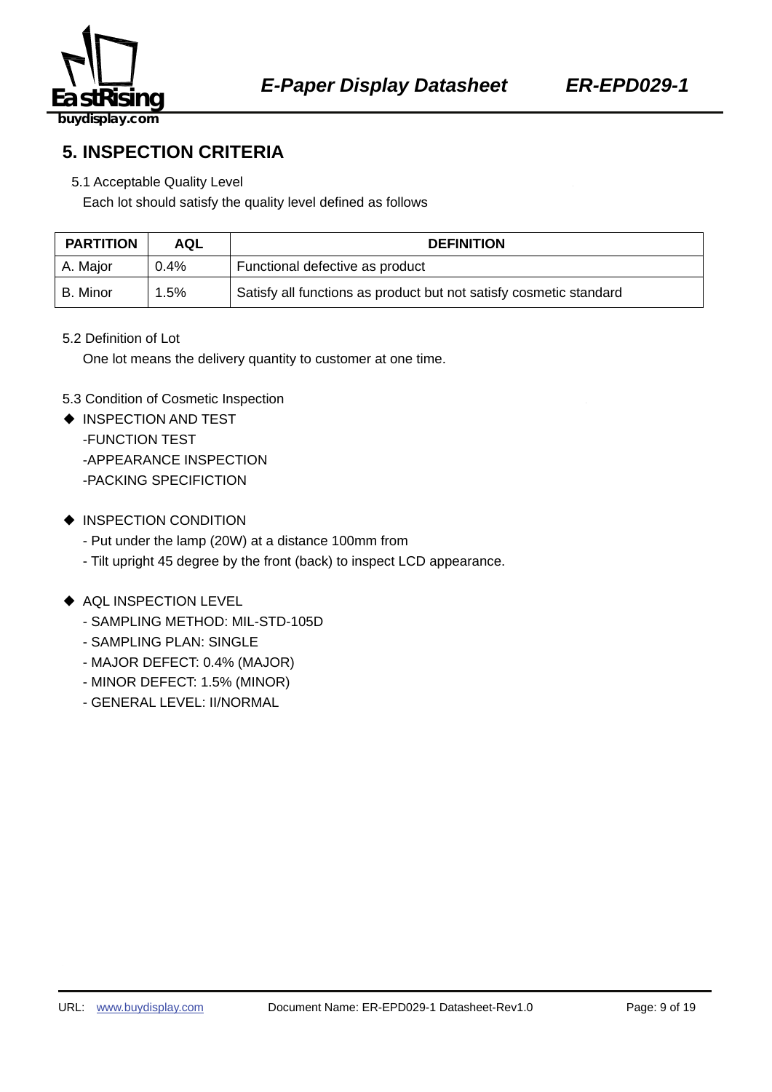

**5. INSPECTION CRITERIA** 

#### 5.1 Acceptable Quality Level

Each lot should satisfy the quality level defined as follows

| <b>PARTITION</b> | AQL     | <b>DEFINITION</b>                                                  |  |
|------------------|---------|--------------------------------------------------------------------|--|
| A. Major         | $0.4\%$ | Functional defective as product                                    |  |
| l B. Minor       | $1.5\%$ | Satisfy all functions as product but not satisfy cosmetic standard |  |

#### 5.2 Definition of Lot

One lot means the delivery quantity to customer at one time.

#### 5.3 Condition of Cosmetic Inspection

- ◆ INSPECTION AND TEST -FUNCTION TEST -APPEARANCE INSPECTION -PACKING SPECIFICTION
- ◆ INSPECTION CONDITION
	- Put under the lamp (20W) at a distance 100mm from
	- Tilt upright 45 degree by the front (back) to inspect LCD appearance.

#### ◆ AQL INSPECTION LEVEL

- SAMPLING METHOD: MIL-STD-105D
- SAMPLING PLAN: SINGLE
- MAJOR DEFECT: 0.4% (MAJOR)
- MINOR DEFECT: 1.5% (MINOR)
- GENERAL LEVEL: II/NORMAL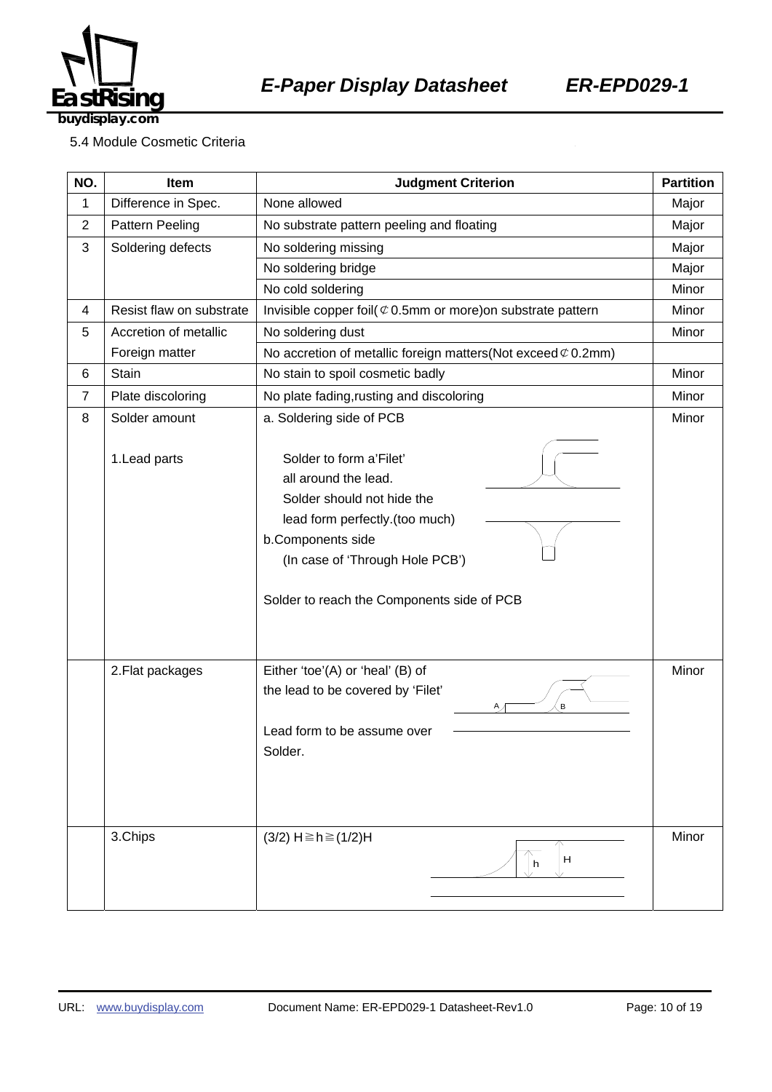

5.4 Module Cosmetic Criteria

| NO.            | Item                     | <b>Judgment Criterion</b>                                                                                                                                                                                             | <b>Partition</b> |
|----------------|--------------------------|-----------------------------------------------------------------------------------------------------------------------------------------------------------------------------------------------------------------------|------------------|
| 1              | Difference in Spec.      | None allowed                                                                                                                                                                                                          | Major            |
| $\overline{c}$ | Pattern Peeling          | No substrate pattern peeling and floating                                                                                                                                                                             | Major            |
| 3              | Soldering defects        | No soldering missing                                                                                                                                                                                                  |                  |
|                |                          | No soldering bridge                                                                                                                                                                                                   | Major            |
|                |                          | No cold soldering                                                                                                                                                                                                     | Minor            |
| 4              | Resist flaw on substrate | Invisible copper foil( $\mathcal Q$ 0.5mm or more) on substrate pattern                                                                                                                                               | Minor            |
| 5              | Accretion of metallic    | No soldering dust                                                                                                                                                                                                     | Minor            |
|                | Foreign matter           | No accretion of metallic foreign matters (Not exceed $\mathcal{C}$ 0.2mm)                                                                                                                                             |                  |
| 6              | Stain                    | No stain to spoil cosmetic badly                                                                                                                                                                                      | Minor            |
| $\overline{7}$ | Plate discoloring        | No plate fading, rusting and discoloring                                                                                                                                                                              | Minor            |
| 8              | Solder amount            | a. Soldering side of PCB                                                                                                                                                                                              | Minor            |
|                | 1. Lead parts            | Solder to form a'Filet'<br>all around the lead.<br>Solder should not hide the<br>lead form perfectly.(too much)<br>b.Components side<br>(In case of 'Through Hole PCB')<br>Solder to reach the Components side of PCB |                  |
|                | 2. Flat packages         | Either 'toe'(A) or 'heal' (B) of<br>the lead to be covered by 'Filet'<br>В<br>Α,<br>Lead form to be assume over<br>Solder.                                                                                            | Minor            |
|                | 3.Chips                  | $(3/2)$ H ≥ h ≥ $(1/2)$ H<br>H<br>h                                                                                                                                                                                   | Minor            |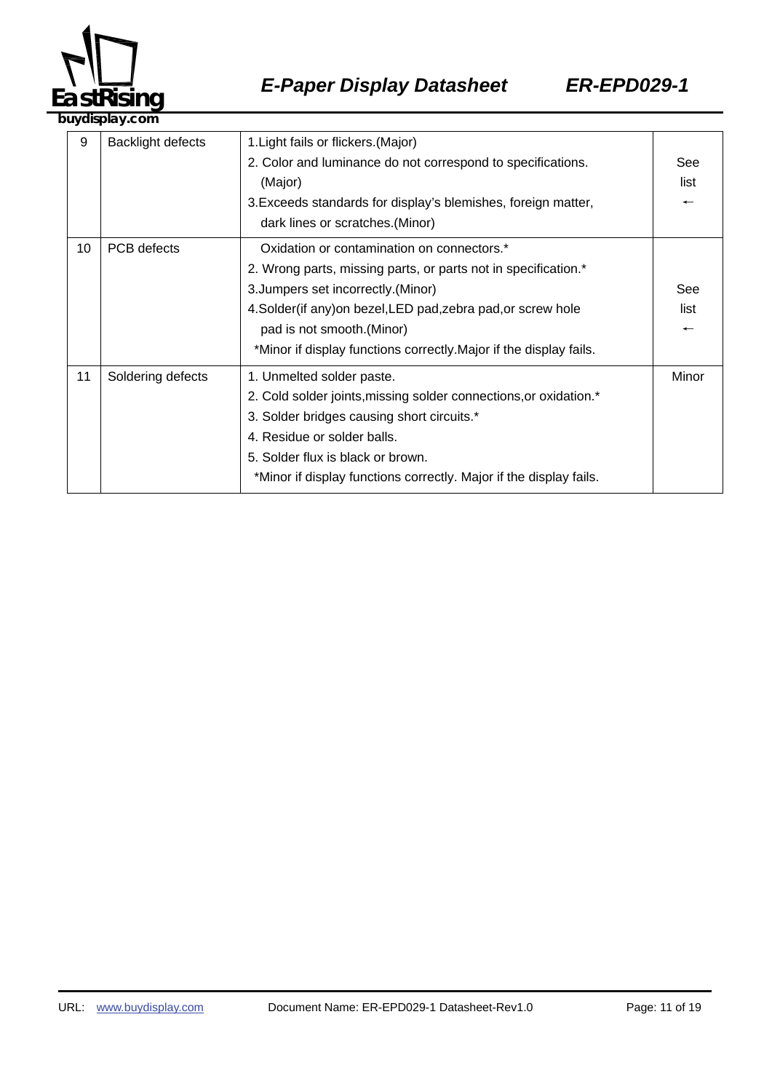

|    | ,u yulupiu yi collii     |                                                                                                                                                                                                                                                                                                                          |                                         |  |
|----|--------------------------|--------------------------------------------------------------------------------------------------------------------------------------------------------------------------------------------------------------------------------------------------------------------------------------------------------------------------|-----------------------------------------|--|
| 9  | <b>Backlight defects</b> | 1. Light fails or flickers. (Major)<br>2. Color and luminance do not correspond to specifications.<br>(Major)<br>3. Exceeds standards for display's blemishes, foreign matter,<br>dark lines or scratches. (Minor)                                                                                                       | See<br>list<br>$\overline{\phantom{0}}$ |  |
| 10 | PCB defects              | Oxidation or contamination on connectors.*<br>2. Wrong parts, missing parts, or parts not in specification.*<br>3. Jumpers set incorrectly. (Minor)<br>4. Solder(if any) on bezel, LED pad, zebra pad, or screw hole<br>pad is not smooth. (Minor)<br>*Minor if display functions correctly. Major if the display fails. | See<br>list<br>$\overline{\phantom{m}}$ |  |
| 11 | Soldering defects        | 1. Unmelted solder paste.<br>2. Cold solder joints, missing solder connections, or oxidation.*<br>3. Solder bridges causing short circuits.*<br>4. Residue or solder balls.<br>5. Solder flux is black or brown.<br>*Minor if display functions correctly. Major if the display fails.                                   | Minor                                   |  |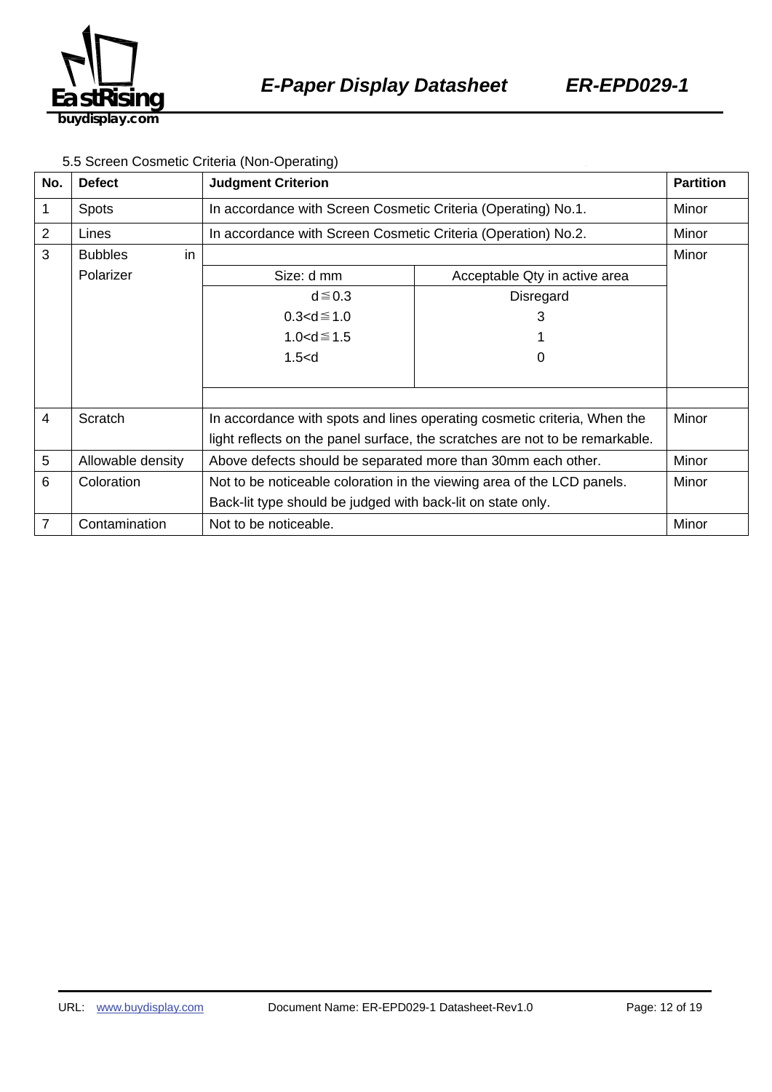

#### 5.5 Screen Cosmetic Criteria (Non-Operating)

| No.            | <b>Defect</b>        | <b>Judgment Criterion</b>                                                    |                               | <b>Partition</b> |
|----------------|----------------------|------------------------------------------------------------------------------|-------------------------------|------------------|
| 1              | <b>Spots</b>         | In accordance with Screen Cosmetic Criteria (Operating) No.1.                |                               | Minor            |
| $\overline{2}$ | Lines                | In accordance with Screen Cosmetic Criteria (Operation) No.2.                |                               | Minor            |
| 3              | in<br><b>Bubbles</b> |                                                                              |                               | Minor            |
|                | Polarizer            | Size: d mm                                                                   | Acceptable Qty in active area |                  |
|                |                      | $d \leq 0.3$                                                                 | Disregard                     |                  |
|                |                      | $0.3 < d \le 1.0$                                                            | 3                             |                  |
|                |                      | $1.0 < d \le 1.5$                                                            |                               |                  |
|                |                      | 1.5< d                                                                       | O                             |                  |
|                |                      |                                                                              |                               |                  |
|                |                      |                                                                              |                               |                  |
| 4              | Scratch              | In accordance with spots and lines operating cosmetic criteria, When the     |                               |                  |
|                |                      | light reflects on the panel surface, the scratches are not to be remarkable. |                               |                  |
| 5              | Allowable density    | Above defects should be separated more than 30mm each other.                 |                               | Minor            |
| 6              | Coloration           | Not to be noticeable coloration in the viewing area of the LCD panels.       |                               | Minor            |
|                |                      | Back-lit type should be judged with back-lit on state only.                  |                               |                  |
| 7              | Contamination        | Not to be noticeable.                                                        |                               | Minor            |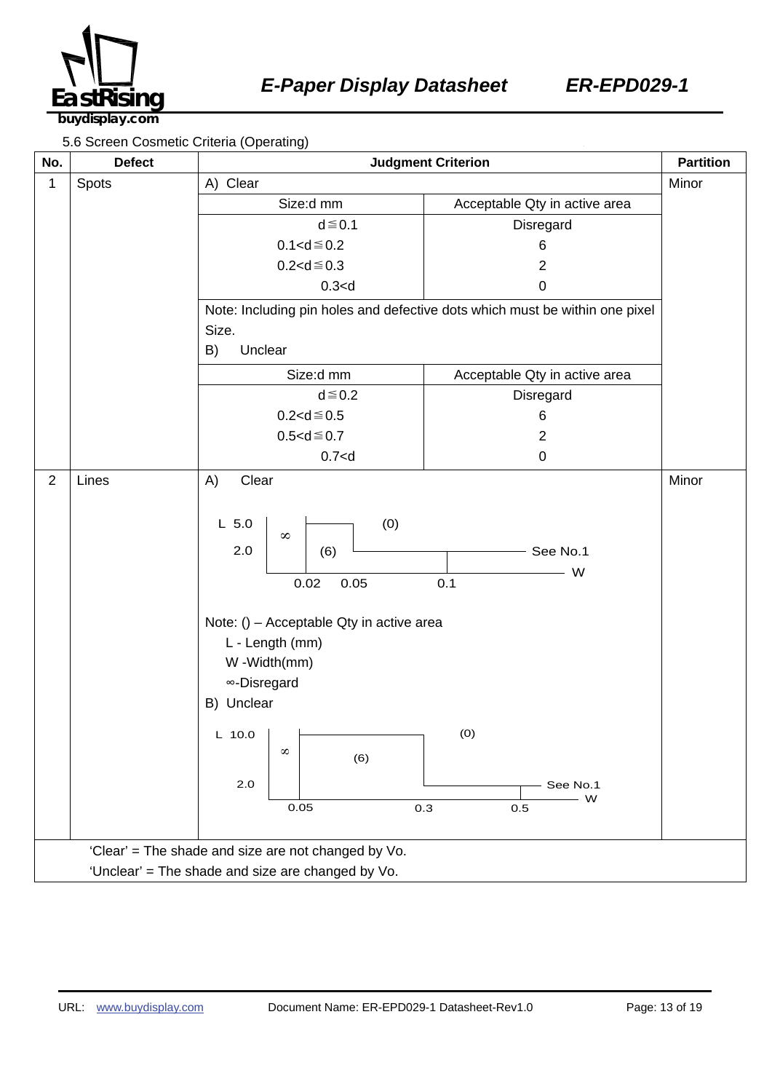

5.6 Screen Cosmetic Criteria (Operating)

| No.<br><b>Defect</b>                                | $1 - 2$<br><b>Judgment Criterion</b>                                                                                                                                                                                     |                                                                             | <b>Partition</b> |
|-----------------------------------------------------|--------------------------------------------------------------------------------------------------------------------------------------------------------------------------------------------------------------------------|-----------------------------------------------------------------------------|------------------|
| Spots<br>1                                          | A) Clear                                                                                                                                                                                                                 |                                                                             | Minor            |
|                                                     | Size:d mm                                                                                                                                                                                                                | Acceptable Qty in active area                                               |                  |
|                                                     | $d \leq 0.1$                                                                                                                                                                                                             | Disregard                                                                   |                  |
|                                                     | $0.1 < d \le 0.2$                                                                                                                                                                                                        | 6                                                                           |                  |
|                                                     | $0.2 < d \le 0.3$                                                                                                                                                                                                        | $\overline{2}$                                                              |                  |
|                                                     | 0.3 < d                                                                                                                                                                                                                  | $\pmb{0}$                                                                   |                  |
|                                                     | Size.                                                                                                                                                                                                                    | Note: Including pin holes and defective dots which must be within one pixel |                  |
|                                                     | B)<br>Unclear                                                                                                                                                                                                            |                                                                             |                  |
|                                                     |                                                                                                                                                                                                                          |                                                                             |                  |
|                                                     | Size:d mm<br>$d \leq 0.2$                                                                                                                                                                                                | Acceptable Qty in active area                                               |                  |
|                                                     | $0.2 < d \le 0.5$                                                                                                                                                                                                        | Disregard<br>6                                                              |                  |
|                                                     | $0.5 < d \le 0.7$                                                                                                                                                                                                        | $\overline{2}$                                                              |                  |
|                                                     | 0.7 < d                                                                                                                                                                                                                  | $\pmb{0}$                                                                   |                  |
| $\overline{2}$<br>Lines                             | A)<br>Clear                                                                                                                                                                                                              |                                                                             | Minor            |
|                                                     | (0)<br>$L$ 5.0<br>$\infty$<br>2.0<br>(6)<br>0.02<br>0.05<br>Note: () - Acceptable Qty in active area<br>L - Length (mm)<br>W-Width(mm)<br>∞-Disregard<br>B) Unclear<br>$L$ 10.0<br>$\infty$<br>(6)<br>2.0<br>0.05<br>0.3 | See No.1<br>W<br>0.1<br>(0)<br>See No.1<br>W<br>0.5                         |                  |
| 'Clear' = The shade and size are not changed by Vo. |                                                                                                                                                                                                                          |                                                                             |                  |
| 'Unclear' = The shade and size are changed by Vo.   |                                                                                                                                                                                                                          |                                                                             |                  |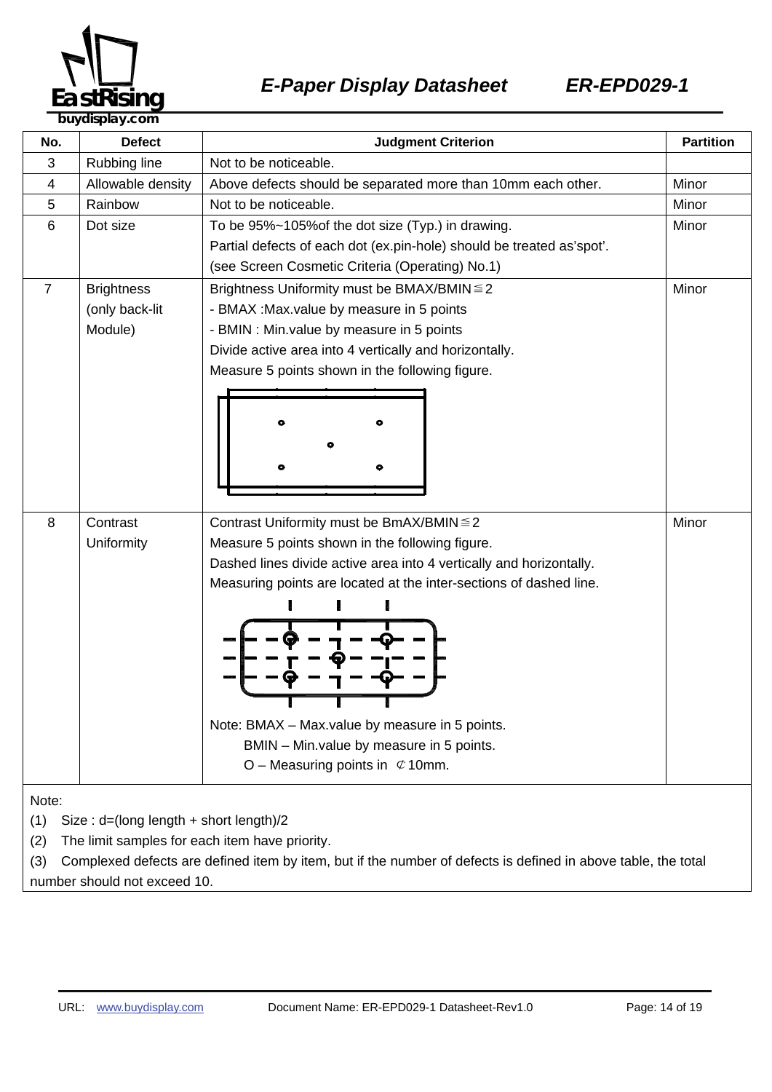

| No.                                                                                                                  | <b>Defect</b>                                  | <b>Judgment Criterion</b>                                             | <b>Partition</b> |  |
|----------------------------------------------------------------------------------------------------------------------|------------------------------------------------|-----------------------------------------------------------------------|------------------|--|
| 3                                                                                                                    | Rubbing line                                   | Not to be noticeable.                                                 |                  |  |
| 4                                                                                                                    | Allowable density                              | Above defects should be separated more than 10mm each other.          | Minor            |  |
| 5                                                                                                                    | Rainbow                                        | Not to be noticeable.                                                 | Minor            |  |
| 6                                                                                                                    | Dot size                                       | To be 95%~105% of the dot size (Typ.) in drawing.                     | Minor            |  |
|                                                                                                                      |                                                | Partial defects of each dot (ex.pin-hole) should be treated as'spot'. |                  |  |
|                                                                                                                      |                                                | (see Screen Cosmetic Criteria (Operating) No.1)                       |                  |  |
| $\overline{7}$                                                                                                       | <b>Brightness</b>                              | Minor<br>Brightness Uniformity must be BMAX/BMIN ≤ 2                  |                  |  |
|                                                                                                                      | (only back-lit                                 | - BMAX : Max.value by measure in 5 points                             |                  |  |
|                                                                                                                      | Module)                                        | - BMIN : Min.value by measure in 5 points                             |                  |  |
|                                                                                                                      |                                                | Divide active area into 4 vertically and horizontally.                |                  |  |
|                                                                                                                      |                                                | Measure 5 points shown in the following figure.                       |                  |  |
|                                                                                                                      |                                                |                                                                       |                  |  |
|                                                                                                                      |                                                |                                                                       |                  |  |
|                                                                                                                      |                                                |                                                                       |                  |  |
|                                                                                                                      |                                                |                                                                       |                  |  |
|                                                                                                                      |                                                |                                                                       |                  |  |
|                                                                                                                      |                                                |                                                                       |                  |  |
| 8                                                                                                                    | Contrast                                       | Minor<br>Contrast Uniformity must be BmAX/BMIN ≤ 2                    |                  |  |
|                                                                                                                      | Uniformity                                     | Measure 5 points shown in the following figure.                       |                  |  |
|                                                                                                                      |                                                | Dashed lines divide active area into 4 vertically and horizontally.   |                  |  |
|                                                                                                                      |                                                | Measuring points are located at the inter-sections of dashed line.    |                  |  |
|                                                                                                                      |                                                |                                                                       |                  |  |
|                                                                                                                      |                                                |                                                                       |                  |  |
|                                                                                                                      |                                                |                                                                       |                  |  |
|                                                                                                                      |                                                |                                                                       |                  |  |
|                                                                                                                      |                                                |                                                                       |                  |  |
|                                                                                                                      |                                                |                                                                       |                  |  |
|                                                                                                                      |                                                | Note: BMAX - Max.value by measure in 5 points.                        |                  |  |
|                                                                                                                      |                                                | BMIN - Min. value by measure in 5 points.                             |                  |  |
|                                                                                                                      |                                                | O – Measuring points in $\mathfrak{C}$ 10mm.                          |                  |  |
|                                                                                                                      |                                                |                                                                       |                  |  |
| Note:                                                                                                                |                                                |                                                                       |                  |  |
| (1)<br>Size: d=(long length + short length)/2                                                                        |                                                |                                                                       |                  |  |
| (2)                                                                                                                  | The limit samples for each item have priority. |                                                                       |                  |  |
| Complexed defects are defined item by item, but if the number of defects is defined in above table, the total<br>(3) |                                                |                                                                       |                  |  |

number should not exceed 10.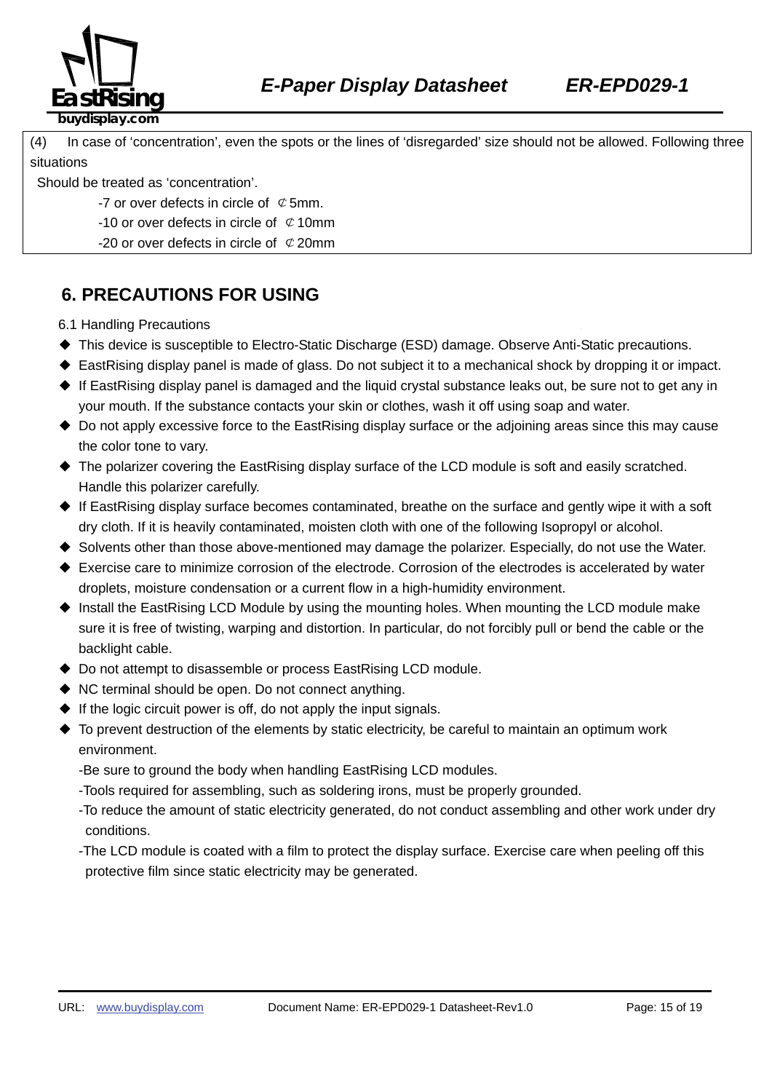

(4) In case of 'concentration', even the spots or the lines of 'disregarded' size should not be allowed. Following three situations

Should be treated as 'concentration'.

- -7 or over defects in circle of  $\mathcal Q$  5mm.
- -10 or over defects in circle of  $\mathcal Q$  10mm
- -20 or over defects in circle of  $\mathcal{C}$  20mm

## **6. PRECAUTIONS FOR USING**

6.1 Handling Precautions

- ◆ This device is susceptible to Electro-Static Discharge (ESD) damage. Observe Anti-Static precautions.
- ◆ EastRising display panel is made of glass. Do not subject it to a mechanical shock by dropping it or impact.
- ◆ If EastRising display panel is damaged and the liquid crystal substance leaks out, be sure not to get any in your mouth. If the substance contacts your skin or clothes, wash it off using soap and water.
- ◆ Do not apply excessive force to the EastRising display surface or the adjoining areas since this may cause the color tone to vary.
- ◆ The polarizer covering the EastRising display surface of the LCD module is soft and easily scratched. Handle this polarizer carefully.
- ◆ If EastRising display surface becomes contaminated, breathe on the surface and gently wipe it with a soft dry cloth. If it is heavily contaminated, moisten cloth with one of the following Isopropyl or alcohol.
- ◆ Solvents other than those above-mentioned may damage the polarizer. Especially, do not use the Water.
- ◆ Exercise care to minimize corrosion of the electrode. Corrosion of the electrodes is accelerated by water droplets, moisture condensation or a current flow in a high-humidity environment.
- ◆ Install the EastRising LCD Module by using the mounting holes. When mounting the LCD module make sure it is free of twisting, warping and distortion. In particular, do not forcibly pull or bend the cable or the backlight cable.
- ◆ Do not attempt to disassemble or process EastRising LCD module.
- ◆ NC terminal should be open. Do not connect anything.
- $\blacklozenge$  If the logic circuit power is off, do not apply the input signals.
- ◆ To prevent destruction of the elements by static electricity, be careful to maintain an optimum work environment.
	- -Be sure to ground the body when handling EastRising LCD modules.
	- -Tools required for assembling, such as soldering irons, must be properly grounded.
	- -To reduce the amount of static electricity generated, do not conduct assembling and other work under dry conditions.
	- -The LCD module is coated with a film to protect the display surface. Exercise care when peeling off this protective film since static electricity may be generated.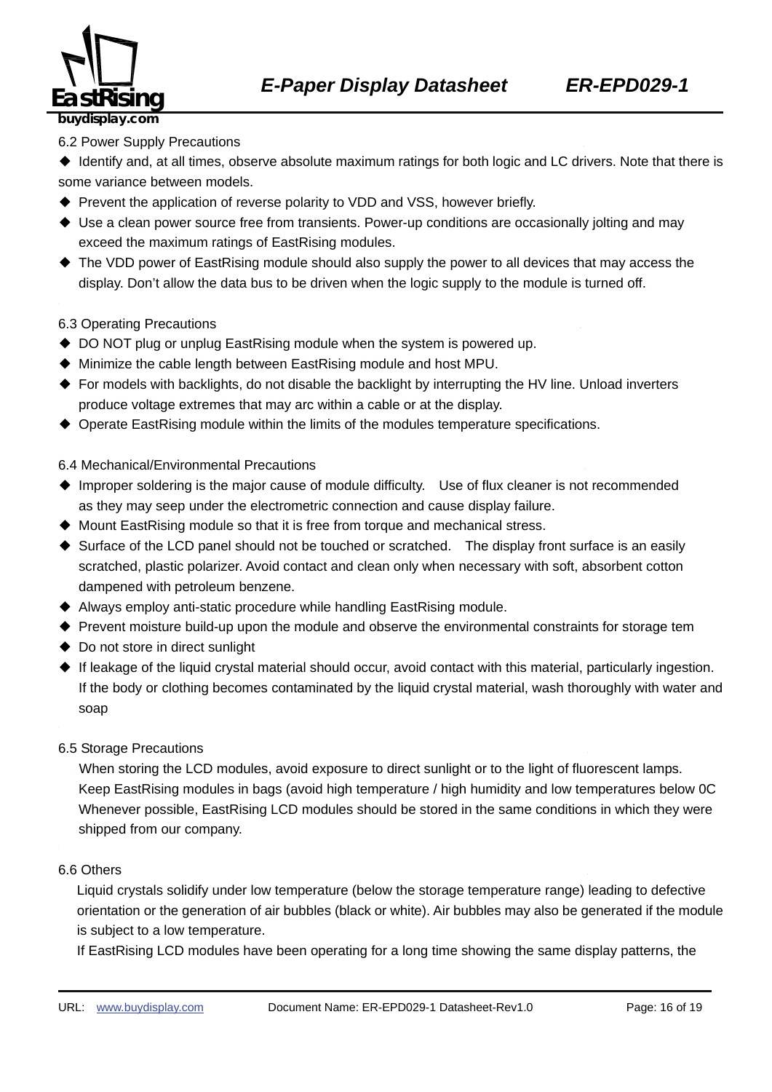

#### 6.2 Power Supply Precautions

◆ Identify and, at all times, observe absolute maximum ratings for both logic and LC drivers. Note that there is some variance between models.

- ◆ Prevent the application of reverse polarity to VDD and VSS, however briefly.
- ◆ Use a clean power source free from transients. Power-up conditions are occasionally jolting and may exceed the maximum ratings of EastRising modules.
- ◆ The VDD power of EastRising module should also supply the power to all devices that may access the display. Don't allow the data bus to be driven when the logic supply to the module is turned off.

#### 6.3 Operating Precautions

- ◆ DO NOT plug or unplug EastRising module when the system is powered up.
- ◆ Minimize the cable length between EastRising module and host MPU.
- ◆ For models with backlights, do not disable the backlight by interrupting the HV line. Unload inverters produce voltage extremes that may arc within a cable or at the display.
- ◆ Operate EastRising module within the limits of the modules temperature specifications.

#### 6.4 Mechanical/Environmental Precautions

- ◆ Improper soldering is the major cause of module difficulty. Use of flux cleaner is not recommended as they may seep under the electrometric connection and cause display failure.
- ◆ Mount EastRising module so that it is free from torque and mechanical stress.
- ◆ Surface of the LCD panel should not be touched or scratched. The display front surface is an easily scratched, plastic polarizer. Avoid contact and clean only when necessary with soft, absorbent cotton dampened with petroleum benzene.
- ◆ Always employ anti-static procedure while handling EastRising module.
- ◆ Prevent moisture build-up upon the module and observe the environmental constraints for storage tem
- ◆ Do not store in direct sunlight
- ◆ If leakage of the liquid crystal material should occur, avoid contact with this material, particularly ingestion. If the body or clothing becomes contaminated by the liquid crystal material, wash thoroughly with water and soap
- 6.5 Storage Precautions

When storing the LCD modules, avoid exposure to direct sunlight or to the light of fluorescent lamps. Keep EastRising modules in bags (avoid high temperature / high humidity and low temperatures below 0C Whenever possible, EastRising LCD modules should be stored in the same conditions in which they were shipped from our company.

#### 6.6 Others <sup>H</sup> <sup>H</sup>

Liquid crystals solidify under low temperature (below the storage temperature range) leading to defective orientation or the generation of air bubbles (black or white). Air bubbles may also be generated if the module is subject to a low temperature.

If EastRising LCD modules have been operating for a long time showing the same display patterns, the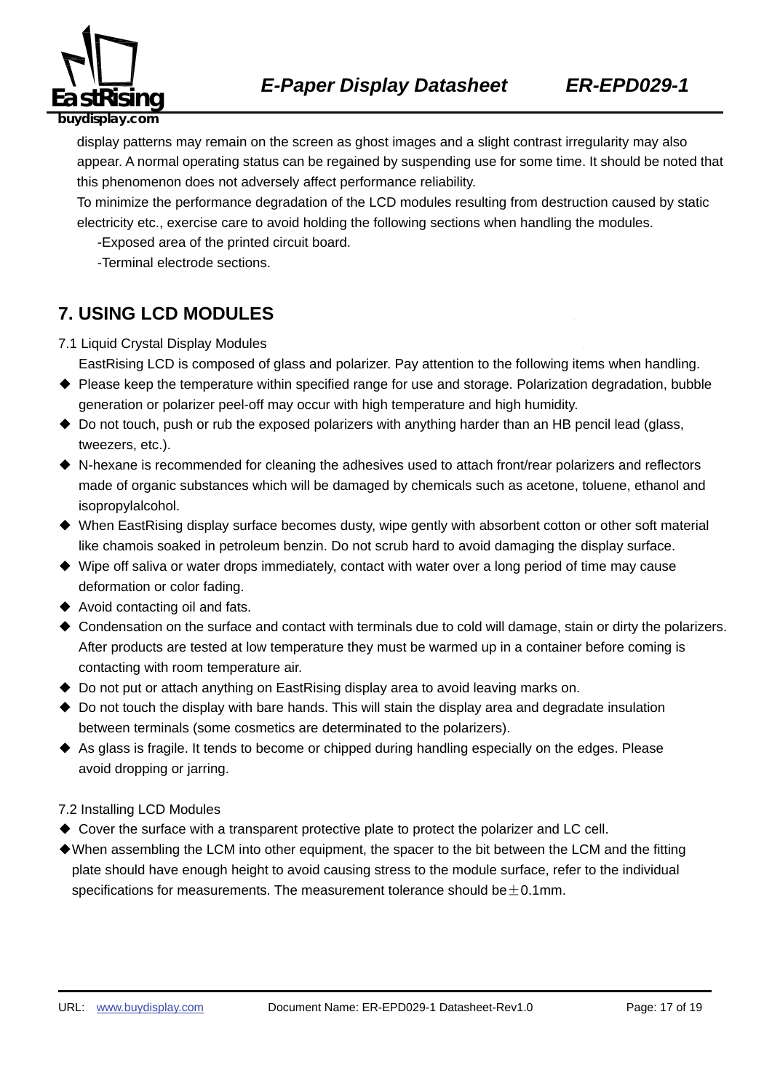

display patterns may remain on the screen as ghost images and a slight contrast irregularity may also appear. A normal operating status can be regained by suspending use for some time. It should be noted that this phenomenon does not adversely affect performance reliability.

To minimize the performance degradation of the LCD modules resulting from destruction caused by static electricity etc., exercise care to avoid holding the following sections when handling the modules.

-Exposed area of the printed circuit board.

-Terminal electrode sections.

### **7. USING LCD MODULES**

- 7.1 Liquid Crystal Display Modules
	- EastRising LCD is composed of glass and polarizer. Pay attention to the following items when handling.
- ◆ Please keep the temperature within specified range for use and storage. Polarization degradation, bubble generation or polarizer peel-off may occur with high temperature and high humidity.
- ◆ Do not touch, push or rub the exposed polarizers with anything harder than an HB pencil lead (glass, tweezers, etc.).
- ◆ N-hexane is recommended for cleaning the adhesives used to attach front/rear polarizers and reflectors made of organic substances which will be damaged by chemicals such as acetone, toluene, ethanol and isopropylalcohol.
- ◆ When EastRising display surface becomes dusty, wipe gently with absorbent cotton or other soft material like chamois soaked in petroleum benzin. Do not scrub hard to avoid damaging the display surface.
- ◆ Wipe off saliva or water drops immediately, contact with water over a long period of time may cause deformation or color fading.
- ◆ Avoid contacting oil and fats.
- ◆ Condensation on the surface and contact with terminals due to cold will damage, stain or dirty the polarizers. After products are tested at low temperature they must be warmed up in a container before coming is contacting with room temperature air.
- ◆ Do not put or attach anything on EastRising display area to avoid leaving marks on.
- ◆ Do not touch the display with bare hands. This will stain the display area and degradate insulation between terminals (some cosmetics are determinated to the polarizers).
- ◆ As glass is fragile. It tends to become or chipped during handling especially on the edges. Please avoid dropping or jarring.

#### 7.2 Installing LCD Modules

- ◆ Cover the surface with a transparent protective plate to protect the polarizer and LC cell.
- ◆When assembling the LCM into other equipment, the spacer to the bit between the LCM and the fitting plate should have enough height to avoid causing stress to the module surface, refer to the individual specifications for measurements. The measurement tolerance should be  $\pm$  0.1mm.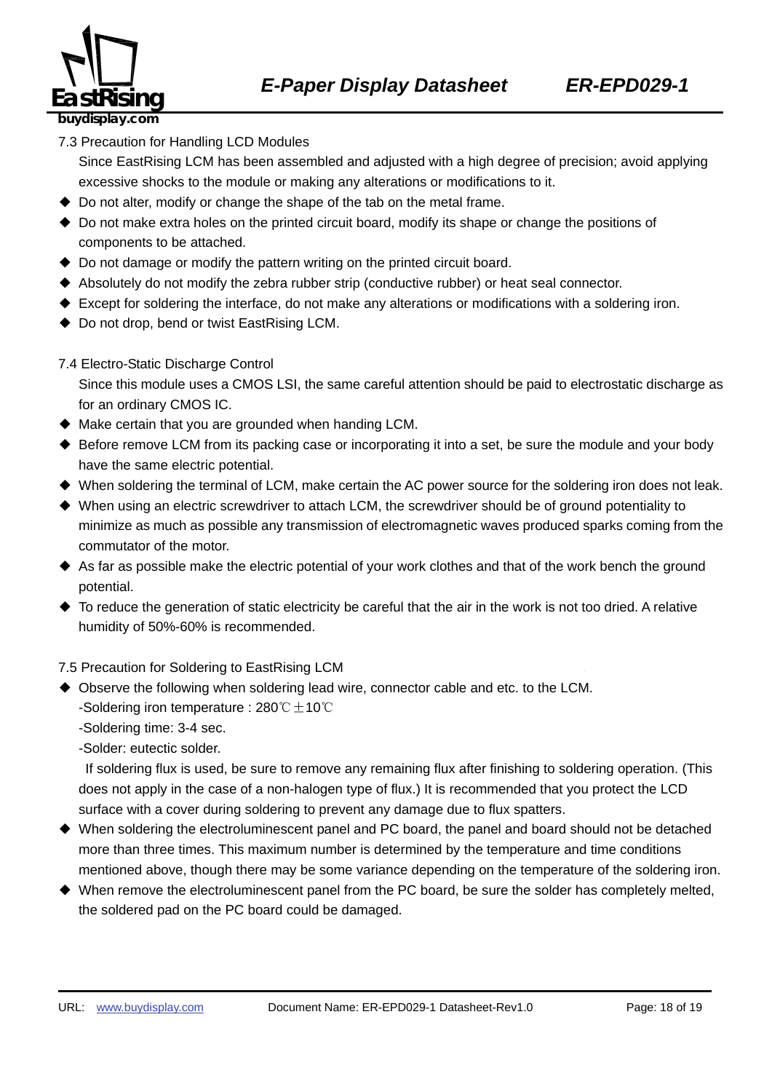

7.3 Precaution for Handling LCD Modules

Since EastRising LCM has been assembled and adjusted with a high degree of precision; avoid applying excessive shocks to the module or making any alterations or modifications to it.

- ◆ Do not alter, modify or change the shape of the tab on the metal frame.
- ◆ Do not make extra holes on the printed circuit board, modify its shape or change the positions of components to be attached.
- ◆ Do not damage or modify the pattern writing on the printed circuit board.
- ◆ Absolutely do not modify the zebra rubber strip (conductive rubber) or heat seal connector.
- ◆ Except for soldering the interface, do not make any alterations or modifications with a soldering iron.
- ◆ Do not drop, bend or twist EastRising LCM.
- 7.4 Electro-Static Discharge Control

Since this module uses a CMOS LSI, the same careful attention should be paid to electrostatic discharge as for an ordinary CMOS IC.

- $\blacklozenge$  Make certain that you are grounded when handing LCM.
- ◆ Before remove LCM from its packing case or incorporating it into a set, be sure the module and your body have the same electric potential.
- ◆ When soldering the terminal of LCM, make certain the AC power source for the soldering iron does not leak.
- ◆ When using an electric screwdriver to attach LCM, the screwdriver should be of ground potentiality to minimize as much as possible any transmission of electromagnetic waves produced sparks coming from the commutator of the motor.
- ◆ As far as possible make the electric potential of your work clothes and that of the work bench the ground potential.
- $\blacklozenge$  To reduce the generation of static electricity be careful that the air in the work is not too dried. A relative humidity of 50%-60% is recommended.

7.5 Precaution for Soldering to EastRising LCM

- ◆ Observe the following when soldering lead wire, connector cable and etc. to the LCM. -Soldering iron temperature : 280℃ $±$ 10℃
	- -Soldering time: 3-4 sec.

-Solder: eutectic solder.

If soldering flux is used, be sure to remove any remaining flux after finishing to soldering operation. (This does not apply in the case of a non-halogen type of flux.) It is recommended that you protect the LCD surface with a cover during soldering to prevent any damage due to flux spatters.

- ◆ When soldering the electroluminescent panel and PC board, the panel and board should not be detached more than three times. This maximum number is determined by the temperature and time conditions mentioned above, though there may be some variance depending on the temperature of the soldering iron.
- ◆ When remove the electroluminescent panel from the PC board, be sure the solder has completely melted, the soldered pad on the PC board could be damaged.